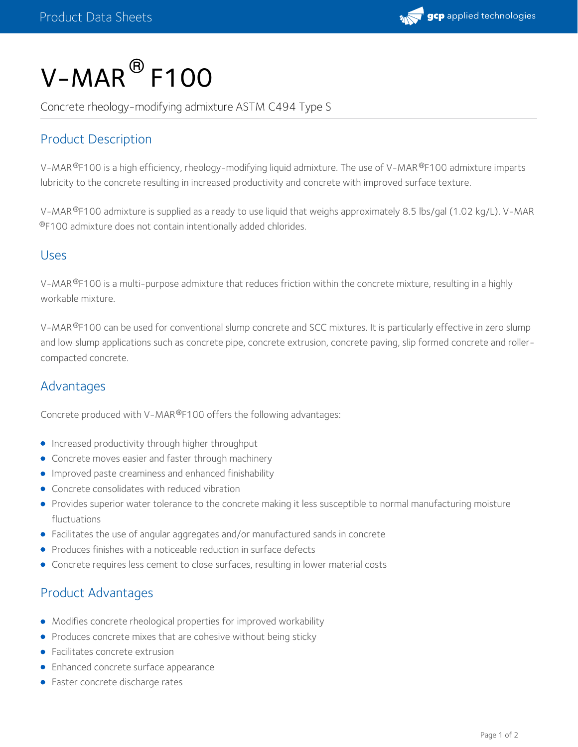

# $V$ – $M$ AR $^{\circledR}$  F100

Concrete rheology-modifying admixture ASTM C494 Type S

# Product Description

V-MAR®F100 is a high efficiency, rheology-modifying liquid admixture. The use of V-MAR®F100 admixture imparts lubricity to the concrete resulting in increased productivity and concrete with improved surface texture.

V-MAR®F100 admixture is supplied as a ready to use liquid that weighs approximately 8.5 lbs/gal (1.02 kg/L). V-MAR  $^{\circledR}$ F100 admixture does not contain intentionally added chlorides.

#### Uses

V-MAR®F100 is a multi-purpose admixture that reduces friction within the concrete mixture, resulting in a highly workable mixture.

V-MAR®F100 can be used for conventional slump concrete and SCC mixtures. It is particularly effective in zero slump and low slump applications such as concrete pipe, concrete extrusion, concrete paving, slip formed concrete and rollercompacted concrete.

# Advantages

Concrete produced with V-MAR®F100 offers the following advantages:

- **•** Increased productivity through higher throughput
- Concrete moves easier and faster through machinery
- **Improved paste creaminess and enhanced finishability**
- Concrete consolidates with reduced vibration
- Provides superior water tolerance to the concrete making it less susceptible to normal manufacturing moisture fluctuations
- Facilitates the use of angular aggregates and/or manufactured sands in concrete
- Produces finishes with a noticeable reduction in surface defects
- Concrete requires less cement to close surfaces, resulting in lower material costs

## Product Advantages

- Modifies concrete rheological properties for improved workability
- Produces concrete mixes that are cohesive without being sticky
- Facilitates concrete extrusion
- **•** Enhanced concrete surface appearance
- Faster concrete discharge rates